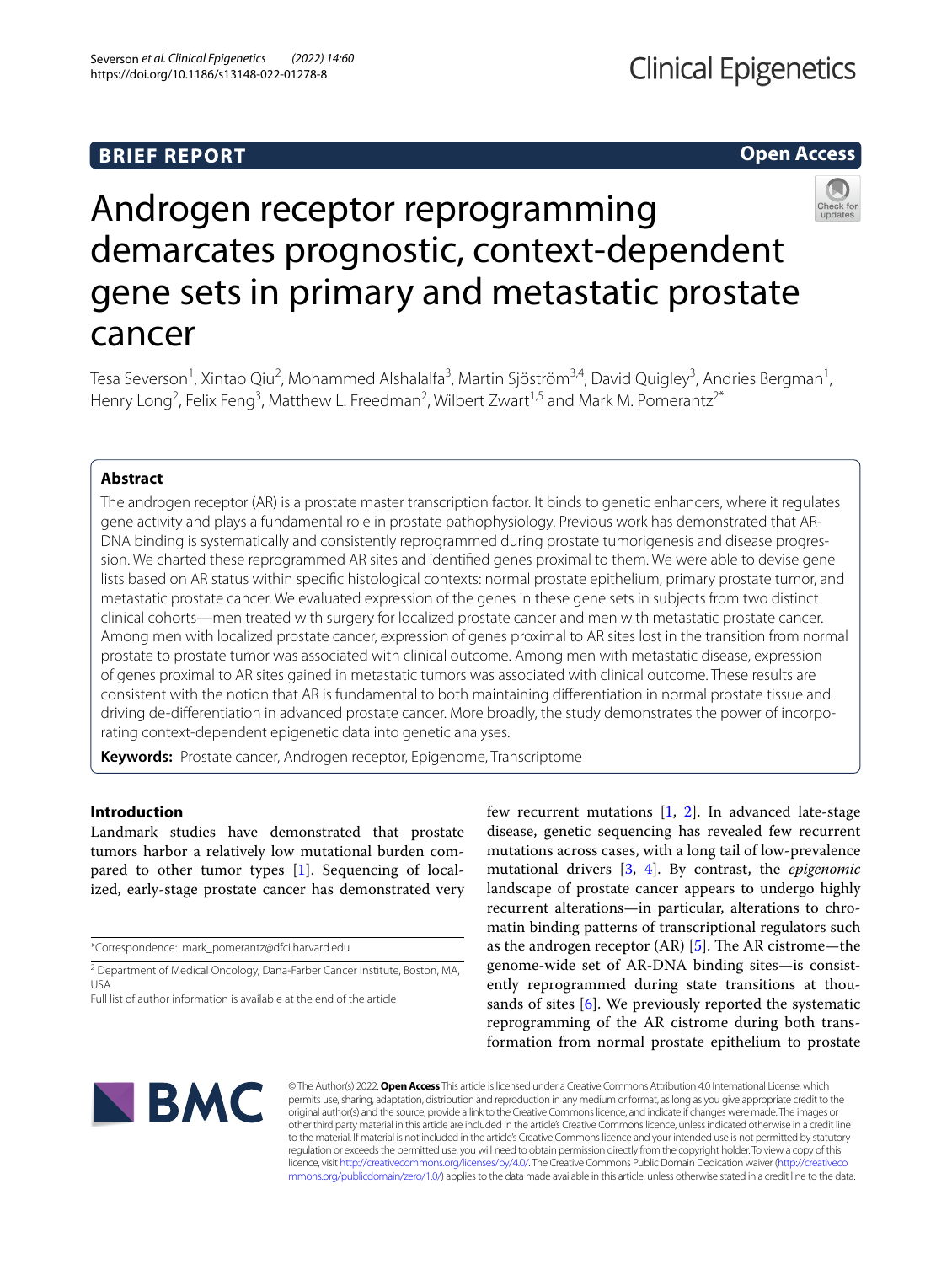# **BRIEF REPORT**

## **Open Access**



# Androgen receptor reprogramming demarcates prognostic, context-dependent gene sets in primary and metastatic prostate cancer

Tesa Severson<sup>1</sup>, Xintao Qiu<sup>2</sup>, Mohammed Alshalalfa<sup>3</sup>, Martin Sjöström<sup>3,4</sup>, David Quigley<sup>3</sup>, Andries Bergman<sup>1</sup>, Henry Long<sup>2</sup>, Felix Feng<sup>3</sup>, Matthew L. Freedman<sup>2</sup>, Wilbert Zwart<sup>1,5</sup> and Mark M. Pomerantz<sup>2\*</sup>

## **Abstract**

The androgen receptor (AR) is a prostate master transcription factor. It binds to genetic enhancers, where it regulates gene activity and plays a fundamental role in prostate pathophysiology. Previous work has demonstrated that AR-DNA binding is systematically and consistently reprogrammed during prostate tumorigenesis and disease progression. We charted these reprogrammed AR sites and identifed genes proximal to them. We were able to devise gene lists based on AR status within specifc histological contexts: normal prostate epithelium, primary prostate tumor, and metastatic prostate cancer. We evaluated expression of the genes in these gene sets in subjects from two distinct clinical cohorts—men treated with surgery for localized prostate cancer and men with metastatic prostate cancer. Among men with localized prostate cancer, expression of genes proximal to AR sites lost in the transition from normal prostate to prostate tumor was associated with clinical outcome. Among men with metastatic disease, expression of genes proximal to AR sites gained in metastatic tumors was associated with clinical outcome. These results are consistent with the notion that AR is fundamental to both maintaining diferentiation in normal prostate tissue and driving de-diferentiation in advanced prostate cancer. More broadly, the study demonstrates the power of incorporating context-dependent epigenetic data into genetic analyses.

**Keywords:** Prostate cancer, Androgen receptor, Epigenome, Transcriptome

## **Introduction**

Landmark studies have demonstrated that prostate tumors harbor a relatively low mutational burden compared to other tumor types [\[1](#page-5-0)]. Sequencing of localized, early-stage prostate cancer has demonstrated very

few recurrent mutations  $[1, 2]$  $[1, 2]$  $[1, 2]$  $[1, 2]$ . In advanced late-stage disease, genetic sequencing has revealed few recurrent mutations across cases, with a long tail of low-prevalence mutational drivers [\[3](#page-5-2), [4](#page-5-3)]. By contrast, the *epigenomic* landscape of prostate cancer appears to undergo highly recurrent alterations—in particular, alterations to chromatin binding patterns of transcriptional regulators such as the androgen receptor  $(AR)$  [\[5](#page-5-4)]. The AR cistrome—the genome-wide set of AR-DNA binding sites—is consistently reprogrammed during state transitions at thousands of sites  $[6]$  $[6]$ . We previously reported the systematic reprogramming of the AR cistrome during both transformation from normal prostate epithelium to prostate



© The Author(s) 2022. **Open Access** This article is licensed under a Creative Commons Attribution 4.0 International License, which permits use, sharing, adaptation, distribution and reproduction in any medium or format, as long as you give appropriate credit to the original author(s) and the source, provide a link to the Creative Commons licence, and indicate if changes were made. The images or other third party material in this article are included in the article's Creative Commons licence, unless indicated otherwise in a credit line to the material. If material is not included in the article's Creative Commons licence and your intended use is not permitted by statutory regulation or exceeds the permitted use, you will need to obtain permission directly from the copyright holder. To view a copy of this licence, visit [http://creativecommons.org/licenses/by/4.0/.](http://creativecommons.org/licenses/by/4.0/) The Creative Commons Public Domain Dedication waiver ([http://creativeco](http://creativecommons.org/publicdomain/zero/1.0/) [mmons.org/publicdomain/zero/1.0/](http://creativecommons.org/publicdomain/zero/1.0/)) applies to the data made available in this article, unless otherwise stated in a credit line to the data.

<sup>\*</sup>Correspondence: mark\_pomerantz@dfci.harvard.edu

<sup>&</sup>lt;sup>2</sup> Department of Medical Oncology, Dana-Farber Cancer Institute, Boston, MA, USA

Full list of author information is available at the end of the article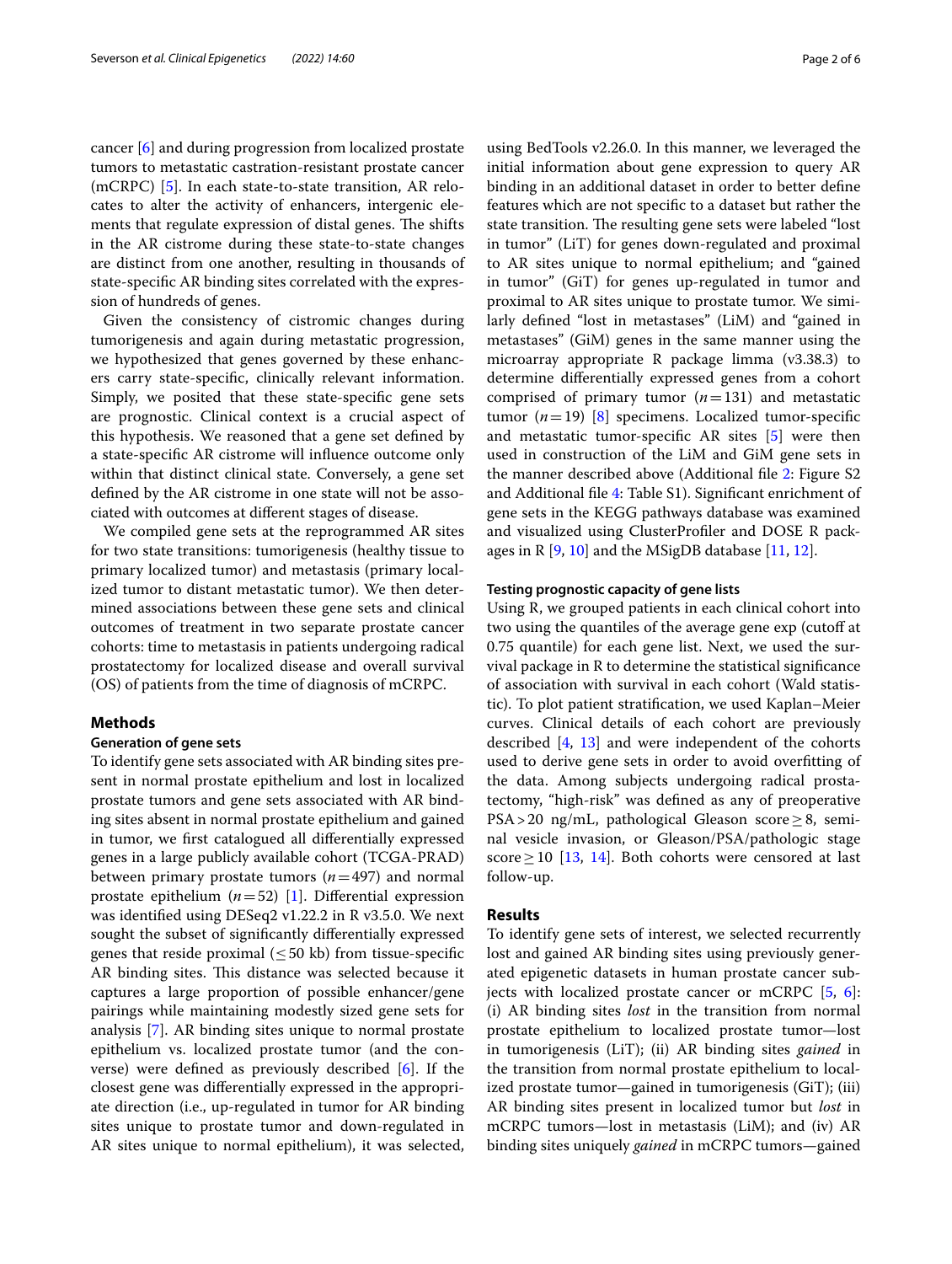cancer [\[6](#page-5-5)] and during progression from localized prostate tumors to metastatic castration-resistant prostate cancer (mCRPC) [[5\]](#page-5-4). In each state-to-state transition, AR relocates to alter the activity of enhancers, intergenic elements that regulate expression of distal genes. The shifts in the AR cistrome during these state-to-state changes are distinct from one another, resulting in thousands of state-specifc AR binding sites correlated with the expression of hundreds of genes.

Given the consistency of cistromic changes during tumorigenesis and again during metastatic progression, we hypothesized that genes governed by these enhancers carry state-specifc, clinically relevant information. Simply, we posited that these state-specifc gene sets are prognostic. Clinical context is a crucial aspect of this hypothesis. We reasoned that a gene set defned by a state-specifc AR cistrome will infuence outcome only within that distinct clinical state. Conversely, a gene set defned by the AR cistrome in one state will not be associated with outcomes at diferent stages of disease.

We compiled gene sets at the reprogrammed AR sites for two state transitions: tumorigenesis (healthy tissue to primary localized tumor) and metastasis (primary localized tumor to distant metastatic tumor). We then determined associations between these gene sets and clinical outcomes of treatment in two separate prostate cancer cohorts: time to metastasis in patients undergoing radical prostatectomy for localized disease and overall survival (OS) of patients from the time of diagnosis of mCRPC.

## **Methods**

#### **Generation of gene sets**

To identify gene sets associated with AR binding sites present in normal prostate epithelium and lost in localized prostate tumors and gene sets associated with AR binding sites absent in normal prostate epithelium and gained in tumor, we frst catalogued all diferentially expressed genes in a large publicly available cohort (TCGA-PRAD) between primary prostate tumors (*n*=497) and normal prostate epithelium  $(n=52)$  [[1\]](#page-5-0). Differential expression was identifed using DESeq2 v1.22.2 in R v3.5.0. We next sought the subset of signifcantly diferentially expressed genes that reside proximal  $(\leq 50 \text{ kb})$  from tissue-specific AR binding sites. This distance was selected because it captures a large proportion of possible enhancer/gene pairings while maintaining modestly sized gene sets for analysis [[7\]](#page-5-6). AR binding sites unique to normal prostate epithelium vs. localized prostate tumor (and the converse) were defned as previously described [[6\]](#page-5-5). If the closest gene was diferentially expressed in the appropriate direction (i.e., up-regulated in tumor for AR binding sites unique to prostate tumor and down-regulated in AR sites unique to normal epithelium), it was selected, using BedTools v2.26.0. In this manner, we leveraged the initial information about gene expression to query AR binding in an additional dataset in order to better defne features which are not specifc to a dataset but rather the state transition. The resulting gene sets were labeled "lost in tumor" (LiT) for genes down-regulated and proximal to AR sites unique to normal epithelium; and "gained in tumor" (GiT) for genes up-regulated in tumor and proximal to AR sites unique to prostate tumor. We similarly defned "lost in metastases" (LiM) and "gained in metastases" (GiM) genes in the same manner using the microarray appropriate R package limma (v3.38.3) to determine diferentially expressed genes from a cohort comprised of primary tumor (*n*=131) and metastatic tumor  $(n=19)$  [[8](#page-5-7)] specimens. Localized tumor-specific and metastatic tumor-specifc AR sites [\[5](#page-5-4)] were then used in construction of the LiM and GiM gene sets in the manner described above (Additional fle [2:](#page-4-0) Figure S2 and Additional fle [4:](#page-4-1) Table S1). Signifcant enrichment of gene sets in the KEGG pathways database was examined and visualized using ClusterProfler and DOSE R packages in R  $[9, 10]$  $[9, 10]$  $[9, 10]$  and the MSigDB database  $[11, 12]$  $[11, 12]$  $[11, 12]$ .

### **Testing prognostic capacity of gene lists**

Using R, we grouped patients in each clinical cohort into two using the quantiles of the average gene exp (cutof at 0.75 quantile) for each gene list. Next, we used the survival package in R to determine the statistical signifcance of association with survival in each cohort (Wald statistic). To plot patient stratifcation, we used Kaplan–Meier curves. Clinical details of each cohort are previously described [[4,](#page-5-3) [13\]](#page-5-12) and were independent of the cohorts used to derive gene sets in order to avoid overftting of the data. Among subjects undergoing radical prostatectomy, "high-risk" was defned as any of preoperative PSA>20 ng/mL, pathological Gleason score≥8, seminal vesicle invasion, or Gleason/PSA/pathologic stage score  $\geq$  10 [\[13](#page-5-12), [14](#page-5-13)]. Both cohorts were censored at last follow-up.

## **Results**

To identify gene sets of interest, we selected recurrently lost and gained AR binding sites using previously generated epigenetic datasets in human prostate cancer subjects with localized prostate cancer or mCRPC [\[5](#page-5-4), [6](#page-5-5)]: (i) AR binding sites *lost* in the transition from normal prostate epithelium to localized prostate tumor—lost in tumorigenesis (LiT); (ii) AR binding sites *gained* in the transition from normal prostate epithelium to localized prostate tumor—gained in tumorigenesis (GiT); (iii) AR binding sites present in localized tumor but *lost* in mCRPC tumors—lost in metastasis (LiM); and (iv) AR binding sites uniquely *gained* in mCRPC tumors—gained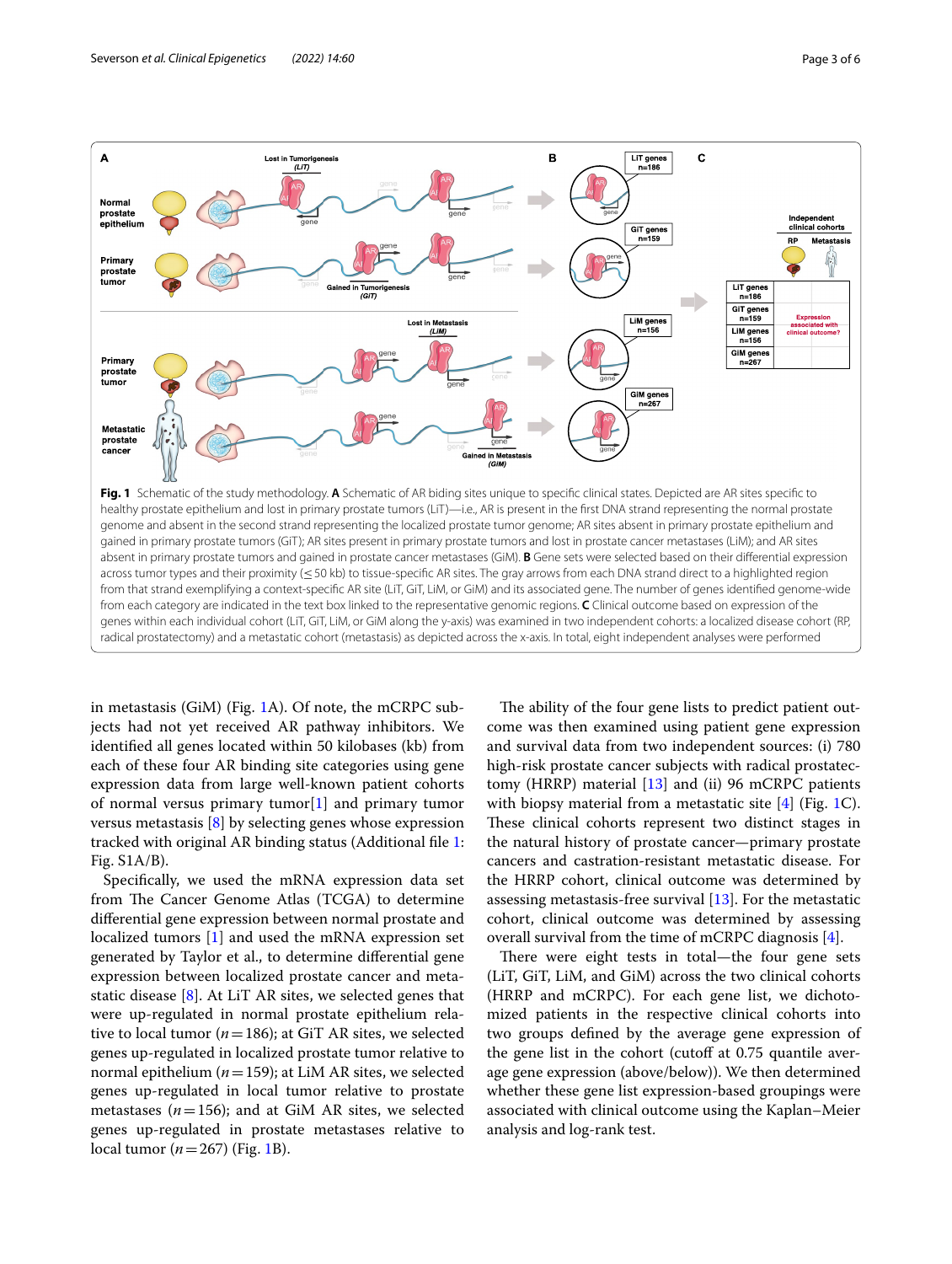

<span id="page-2-0"></span>in metastasis (GiM) (Fig. [1A](#page-2-0)). Of note, the mCRPC subjects had not yet received AR pathway inhibitors. We identifed all genes located within 50 kilobases (kb) from each of these four AR binding site categories using gene expression data from large well-known patient cohorts of normal versus primary tumor[\[1](#page-5-0)] and primary tumor versus metastasis [[8\]](#page-5-7) by selecting genes whose expression tracked with original AR binding status (Additional fle [1](#page-4-2): Fig. S1A/B).

Specifcally, we used the mRNA expression data set from The Cancer Genome Atlas (TCGA) to determine diferential gene expression between normal prostate and localized tumors [\[1\]](#page-5-0) and used the mRNA expression set generated by Taylor et al., to determine diferential gene expression between localized prostate cancer and metastatic disease [\[8](#page-5-7)]. At LiT AR sites, we selected genes that were up-regulated in normal prostate epithelium relative to local tumor ( $n = 186$ ); at GiT AR sites, we selected genes up-regulated in localized prostate tumor relative to normal epithelium (*n*=159); at LiM AR sites, we selected genes up-regulated in local tumor relative to prostate metastases ( $n=156$ ); and at GiM AR sites, we selected genes up-regulated in prostate metastases relative to local tumor  $(n=267)$  (Fig. [1](#page-2-0)B).

The ability of the four gene lists to predict patient outcome was then examined using patient gene expression and survival data from two independent sources: (i) 780 high-risk prostate cancer subjects with radical prostatec-tomy (HRRP) material [\[13\]](#page-5-12) and (ii) 96 mCRPC patients with biopsy material from a metastatic site  $[4]$  (Fig. [1](#page-2-0)C). These clinical cohorts represent two distinct stages in the natural history of prostate cancer—primary prostate cancers and castration-resistant metastatic disease. For the HRRP cohort, clinical outcome was determined by assessing metastasis-free survival [[13\]](#page-5-12). For the metastatic cohort, clinical outcome was determined by assessing overall survival from the time of mCRPC diagnosis [[4\]](#page-5-3).

There were eight tests in total—the four gene sets (LiT, GiT, LiM, and GiM) across the two clinical cohorts (HRRP and mCRPC). For each gene list, we dichotomized patients in the respective clinical cohorts into two groups defned by the average gene expression of the gene list in the cohort (cutoff at 0.75 quantile average gene expression (above/below)). We then determined whether these gene list expression-based groupings were associated with clinical outcome using the Kaplan–Meier analysis and log-rank test.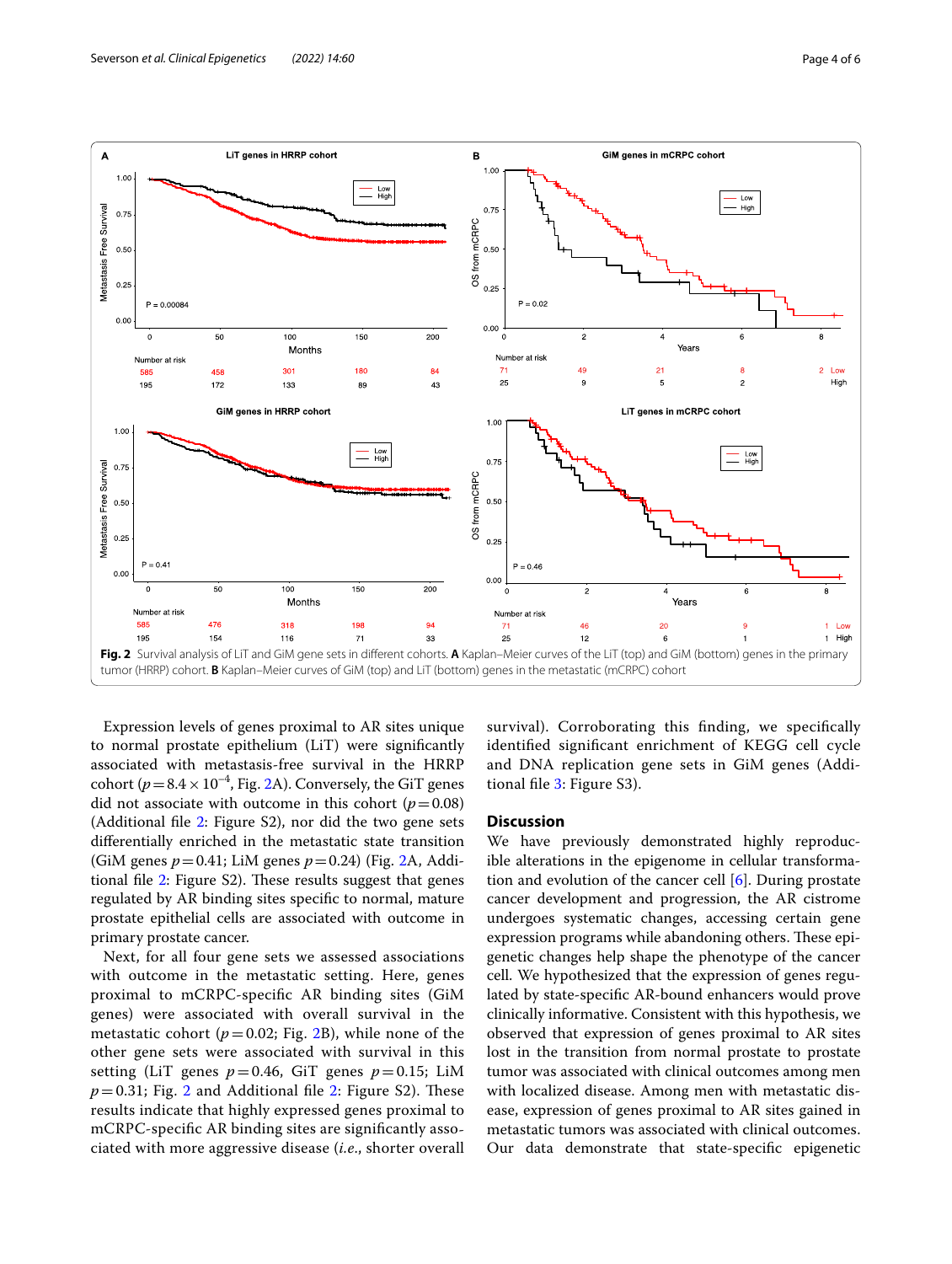



<span id="page-3-0"></span>Expression levels of genes proximal to AR sites unique to normal prostate epithelium (LiT) were signifcantly associated with metastasis-free survival in the HRRP cohort ( $p=8.4\times10^{-4}$ , Fig. [2](#page-3-0)A). Conversely, the GiT genes did not associate with outcome in this cohort  $(p=0.08)$ (Additional fle [2:](#page-4-0) Figure S2), nor did the two gene sets diferentially enriched in the metastatic state transition (GiM genes *p*=0.41; LiM genes *p*=0.24) (Fig. [2A](#page-3-0), Additional file  $2$ : Figure S2). These results suggest that genes regulated by AR binding sites specifc to normal, mature prostate epithelial cells are associated with outcome in primary prostate cancer.

Next, for all four gene sets we assessed associations with outcome in the metastatic setting. Here, genes proximal to mCRPC-specifc AR binding sites (GiM genes) were associated with overall survival in the metastatic cohort ( $p = 0.02$ ; Fig. [2B](#page-3-0)), while none of the other gene sets were associated with survival in this setting (LiT genes  $p=0.46$ , GiT genes  $p=0.15$ ; LiM  $p=0.31$ ; Fig. [2](#page-3-0) and Additional file [2](#page-4-0): Figure S2). These results indicate that highly expressed genes proximal to mCRPC-specifc AR binding sites are signifcantly associated with more aggressive disease (*i.e*., shorter overall

survival). Corroborating this fnding, we specifcally identifed signifcant enrichment of KEGG cell cycle and DNA replication gene sets in GiM genes (Addi-tional file [3:](#page-4-3) Figure S3).

## **Discussion**

We have previously demonstrated highly reproducible alterations in the epigenome in cellular transformation and evolution of the cancer cell [\[6\]](#page-5-5). During prostate cancer development and progression, the AR cistrome undergoes systematic changes, accessing certain gene expression programs while abandoning others. These epigenetic changes help shape the phenotype of the cancer cell. We hypothesized that the expression of genes regulated by state-specifc AR-bound enhancers would prove clinically informative. Consistent with this hypothesis, we observed that expression of genes proximal to AR sites lost in the transition from normal prostate to prostate tumor was associated with clinical outcomes among men with localized disease. Among men with metastatic disease, expression of genes proximal to AR sites gained in metastatic tumors was associated with clinical outcomes. Our data demonstrate that state-specifc epigenetic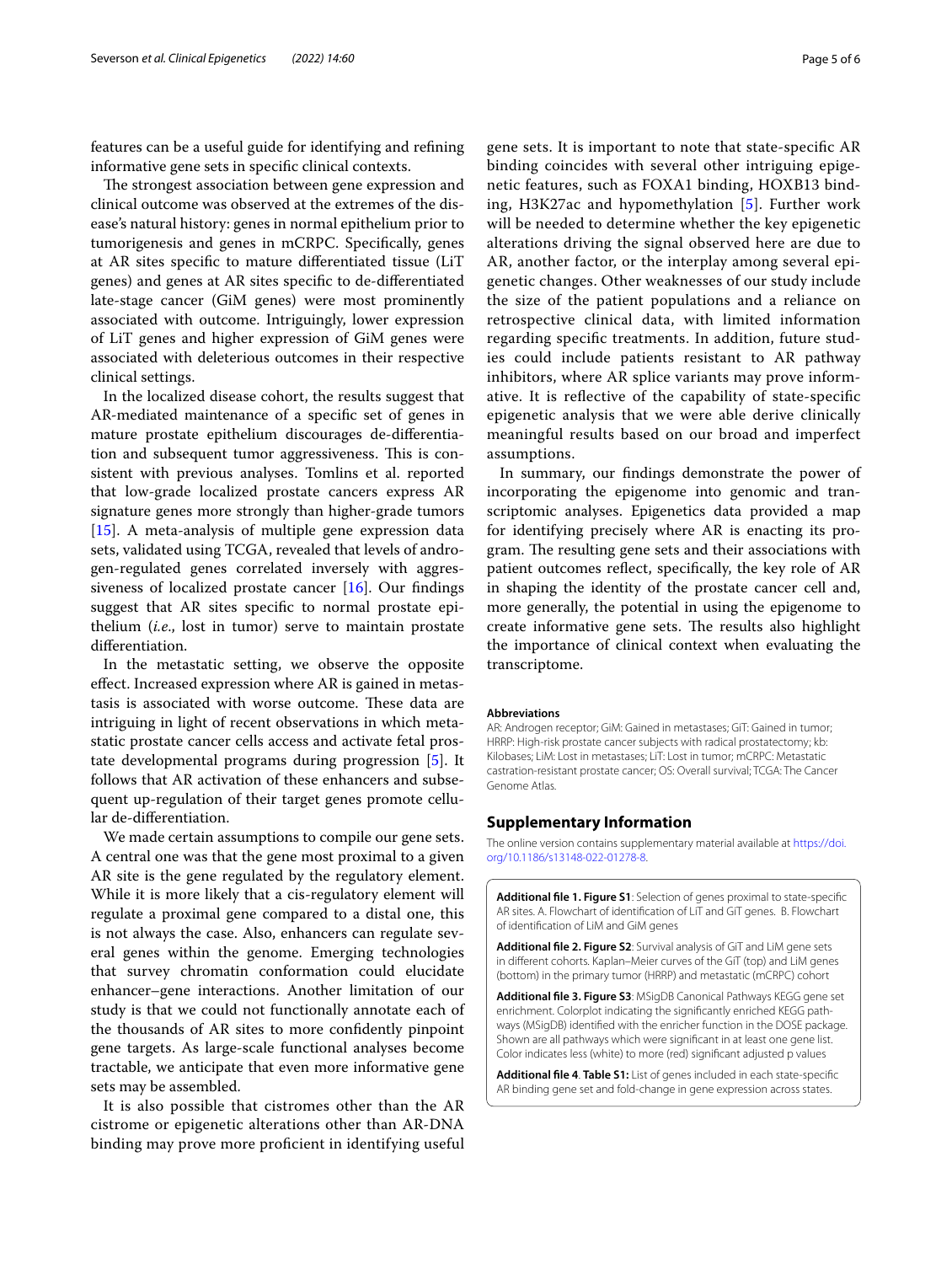features can be a useful guide for identifying and refning informative gene sets in specifc clinical contexts.

The strongest association between gene expression and clinical outcome was observed at the extremes of the disease's natural history: genes in normal epithelium prior to tumorigenesis and genes in mCRPC. Specifcally, genes at AR sites specifc to mature diferentiated tissue (LiT genes) and genes at AR sites specifc to de-diferentiated late-stage cancer (GiM genes) were most prominently associated with outcome. Intriguingly, lower expression of LiT genes and higher expression of GiM genes were associated with deleterious outcomes in their respective clinical settings.

In the localized disease cohort, the results suggest that AR-mediated maintenance of a specifc set of genes in mature prostate epithelium discourages de-diferentiation and subsequent tumor aggressiveness. This is consistent with previous analyses. Tomlins et al. reported that low-grade localized prostate cancers express AR signature genes more strongly than higher-grade tumors [[15\]](#page-5-14). A meta-analysis of multiple gene expression data sets, validated using TCGA, revealed that levels of androgen-regulated genes correlated inversely with aggressiveness of localized prostate cancer  $[16]$  $[16]$  $[16]$ . Our findings suggest that AR sites specifc to normal prostate epithelium (*i.e*., lost in tumor) serve to maintain prostate diferentiation.

In the metastatic setting, we observe the opposite efect. Increased expression where AR is gained in metastasis is associated with worse outcome. These data are intriguing in light of recent observations in which metastatic prostate cancer cells access and activate fetal prostate developmental programs during progression [[5\]](#page-5-4). It follows that AR activation of these enhancers and subsequent up-regulation of their target genes promote cellular de-diferentiation.

We made certain assumptions to compile our gene sets. A central one was that the gene most proximal to a given AR site is the gene regulated by the regulatory element. While it is more likely that a cis-regulatory element will regulate a proximal gene compared to a distal one, this is not always the case. Also, enhancers can regulate several genes within the genome. Emerging technologies that survey chromatin conformation could elucidate enhancer–gene interactions. Another limitation of our study is that we could not functionally annotate each of the thousands of AR sites to more confdently pinpoint gene targets. As large-scale functional analyses become tractable, we anticipate that even more informative gene sets may be assembled.

It is also possible that cistromes other than the AR cistrome or epigenetic alterations other than AR-DNA binding may prove more profcient in identifying useful gene sets. It is important to note that state-specifc AR binding coincides with several other intriguing epigenetic features, such as FOXA1 binding, HOXB13 binding, H3K27ac and hypomethylation [[5\]](#page-5-4). Further work will be needed to determine whether the key epigenetic alterations driving the signal observed here are due to AR, another factor, or the interplay among several epigenetic changes. Other weaknesses of our study include the size of the patient populations and a reliance on retrospective clinical data, with limited information regarding specifc treatments. In addition, future studies could include patients resistant to AR pathway inhibitors, where AR splice variants may prove informative. It is refective of the capability of state-specifc epigenetic analysis that we were able derive clinically meaningful results based on our broad and imperfect assumptions.

In summary, our fndings demonstrate the power of incorporating the epigenome into genomic and transcriptomic analyses. Epigenetics data provided a map for identifying precisely where AR is enacting its program. The resulting gene sets and their associations with patient outcomes refect, specifcally, the key role of AR in shaping the identity of the prostate cancer cell and, more generally, the potential in using the epigenome to create informative gene sets. The results also highlight the importance of clinical context when evaluating the transcriptome.

#### **Abbreviations**

AR: Androgen receptor; GiM: Gained in metastases; GiT: Gained in tumor; HRRP: High-risk prostate cancer subjects with radical prostatectomy; kb: Kilobases; LiM: Lost in metastases; LiT: Lost in tumor; mCRPC: Metastatic castration-resistant prostate cancer; OS: Overall survival; TCGA: The Cancer Genome Atlas.

#### **Supplementary Information**

The online version contains supplementary material available at [https://doi.](https://doi.org/10.1186/s13148-022-01278-8) [org/10.1186/s13148-022-01278-8](https://doi.org/10.1186/s13148-022-01278-8).

<span id="page-4-2"></span>**Additional fle 1. Figure S1**: Selection of genes proximal to state-specifc AR sites. A. Flowchart of identification of LiT and GiT genes. B. Flowchart of identifcation of LiM and GiM genes

<span id="page-4-0"></span>**Additional fle 2. Figure S2**: Survival analysis of GiT and LiM gene sets in diferent cohorts. Kaplan–Meier curves of the GiT (top) and LiM genes (bottom) in the primary tumor (HRRP) and metastatic (mCRPC) cohort

<span id="page-4-3"></span>**Additional fle 3. Figure S3**: MSigDB Canonical Pathways KEGG gene set enrichment. Colorplot indicating the signifcantly enriched KEGG pathways (MSigDB) identifed with the enricher function in the DOSE package. Shown are all pathways which were signifcant in at least one gene list. Color indicates less (white) to more (red) signifcant adjusted p values

<span id="page-4-1"></span>**Additional fle 4**. **Table S1:** List of genes included in each state-specifc AR binding gene set and fold-change in gene expression across states.